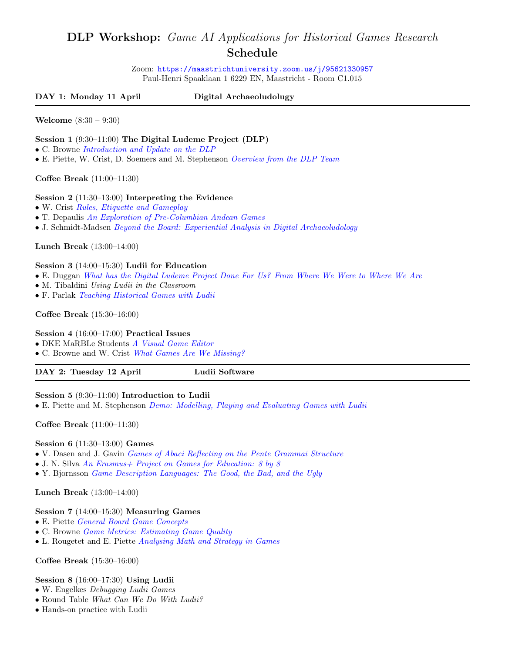# DLP Workshop: Game AI Applications for Historical Games Research Schedule

Zoom: <https://maastrichtuniversity.zoom.us/j/95621330957> Paul-Henri Spaaklaan 1 6229 EN, Maastricht - Room C1.015

DAY 1: Monday 11 April Digital Archaeoludolugy

Welcome (8:30 – 9:30)

# Session 1 (9:30–11:00) The Digital Ludeme Project (DLP)

- C. Browne [Introduction and Update on the DLP](https://ludii.games/TalksWorkshop/Introduction.pdf)
- E. Piette, W. Crist, D. Soemers and M. Stephenson [Overview from the DLP Team](https://ludii.games/TalksWorkshop/Introduction.pdf)

Coffee Break (11:00–11:30)

#### Session 2 (11:30–13:00) Interpreting the Evidence

- W. Crist [Rules, Etiquette and Gameplay](https://ludii.games/TalksWorkshop/RulesEtiquetteGameplay.pdf)
- T. Depaulis [An Exploration of Pre-Columbian Andean Games](https://ludii.games/TalksWorkshop/Depaulis.pdf)
- J. Schmidt-Madsen [Beyond the Board: Experiential Analysis in Digital Archaeoludology](https://ludii.games/TalksWorkshop/Schmidt.pdf)

Lunch Break (13:00–14:00)

#### Session 3 (14:00–15:30) Ludii for Education

- E. Duggan [What has the Digital Ludeme Project Done For Us? From Where We Were to Where We Are](https://ludii.games/TalksWorkshop/Duggan.pdf)
- M. Tibaldini Using Ludii in the Classroom
- F. Parlak [Teaching Historical Games with Ludii](https://ludii.games/TalksWorkshop/Parlak.pdf)

#### Coffee Break (15:30–16:00)

Session 4 (16:00–17:00) Practical Issues

• DKE MaRBLe Students [A Visual Game Editor](https://ludii.games/TalksWorkshop/Marble.pdf)

• C. Browne and W. Crist [What Games Are We Missing?](https://ludii.games/TalksWorkshop/MissingGames.pdf)

| DAY 2: Tuesday 12 April | Ludii Software |
|-------------------------|----------------|
|                         |                |

Session 5 (9:30–11:00) Introduction to Ludii • E. Piette and M. Stephenson [Demo: Modelling, Playing and Evaluating Games with Ludii](https://ludii.games/TalksWorkshop/Ludii.pdf)

Coffee Break (11:00–11:30)

#### Session 6 (11:30–13:00) Games

- V. Dasen and J. Gavin [Games of Abaci Reflecting on the Pente Grammai Structure](https://ludii.games/TalksWorkshop/Dasen.pdf)
- J. N. Silva An Erasmus + Project on Games for Education: 8 by 8
- Y. Bjornsson *[Game Description Languages: The Good, the Bad, and the Ugly](https://ludii.games/TalksWorkshop/Bjornsson.pdf)*

Lunch Break (13:00–14:00)

# Session 7 (14:00–15:30) Measuring Games

- E. Piette [General Board Game Concepts](https://ludii.games/TalksWorkshop/Concept.pdf)
- C. Browne [Game Metrics: Estimating Game Quality](https://ludii.games/TalksWorkshop/Metrics.pdf)
- L. Rougetet and E. Piette [Analysing Math and Strategy in Games](https://ludii.games/TalksWorkshop/Rougetet.pdf)

Coffee Break (15:30–16:00)

# Session 8 (16:00–17:30) Using Ludii

- W. Engelkes Debugging Ludii Games
- Round Table What Can We Do With Ludii?
- Hands-on practice with Ludii